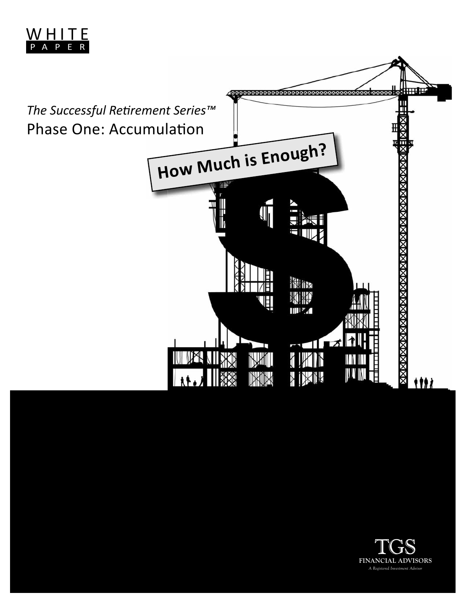



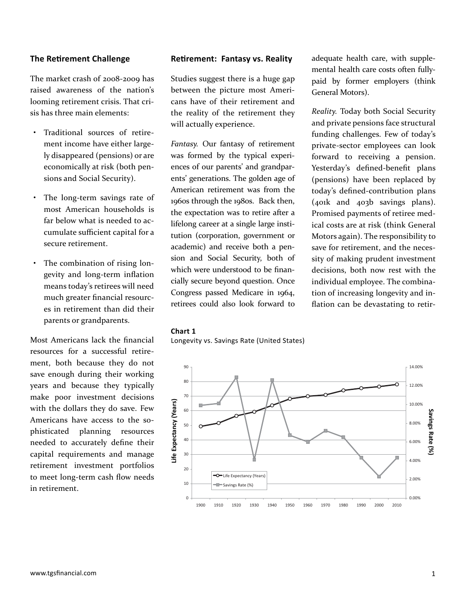## **The Retirement Challenge**

The market crash of 2008-2009 has raised awareness of the nation's looming retirement crisis. That crisis has three main elements:

- Traditional sources of retirement income have either largely disappeared (pensions) or are economically at risk (both pensions and Social Security).
- The long-term savings rate of most American households is far below what is needed to accumulate sufficient capital for a secure retirement.
- The combination of rising longevity and long-term inflation means today's retirees will need much greater financial resources in retirement than did their parents or grandparents.

Most Americans lack the financial resources for a successful retirement, both because they do not save enough during their working years and because they typically make poor investment decisions with the dollars they do save. Few Americans have access to the sophisticated planning resources needed to accurately define their capital requirements and manage retirement investment portfolios to meet long-term cash flow needs in retirement.

### **Reti rement: Fantasy vs. Reality**

Studies suggest there is a huge gap between the picture most Americans have of their retirement and the reality of the retirement they will actually experience.

*Fantasy.* Our fantasy of retirement was formed by the typical experiences of our parents' and grandparents' generations. The golden age of American retirement was from the 1960s through the 1980s. Back then, the expectation was to retire after a lifelong career at a single large institution (corporation, government or academic) and receive both a pension and Social Security, both of which were understood to be financially secure beyond question. Once Congress passed Medicare in 1964, retirees could also look forward to

adequate health care, with supplemental health care costs often fullypaid by former employers (think General Motors).

*Reality.* Today both Social Security and private pensions face structural funding challenges. Few of today's private-sector employees can look forward to receiving a pension. Yesterday's defined-benefit plans (pensions) have been replaced by today's defined-contribution plans (401k and 403b savings plans). Promised payments of retiree medical costs are at risk (think General Motors again). The responsibility to save for retirement, and the necessity of making prudent investment decisions, both now rest with the individual employee. The combination of increasing longevity and inflation can be devastating to retir-

#### **Chart 1**

Longevity vs. Savings Rate (United States)

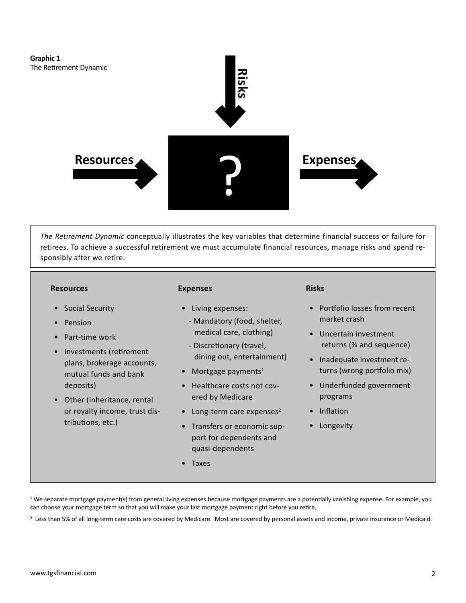

*The Retirement Dynamic* conceptually illustrates the key variables that determine financial success or failure for retirees. To achieve a successful retirement we must accumulate financial resources, manage risks and spend responsibly after we retire.

#### **Resources**

- Social Security
- **Pension**
- Part-time work
- Investments (retirement plans, brokerage accounts, mutual funds and bank deposits)
- Other (inheritance, rental or royalty income, trust distributions, etc.)

#### **Expenses**

- Living expenses:
	- Mandatory (food, shelter, medical care, clothing)
- Discretionary (travel, dining out, entertainment)
- Mortgage payments $1$
- Healthcare costs not covered by Medicare
- Long-term care expenses $2$
- Transfers or economic support for dependents and quasi-dependents
- Taxes

#### **Risks**

- Portfolio losses from recent market crash
- Uncertain investment returns (% and sequence)
- Inadequate investment returns (wrong portfolio mix)
- Underfunded government programs
- Inflation
- Longevity

<sup>1</sup> We separate mortgage payment(s) from general living expenses because mortgage payments are a potentially vanishing expense. For example, you can choose your mortgage term so that you will make your last mortgage payment right before you retire.

<sup>2</sup> Less than 5% of all long-term care costs are covered by Medicare. Most are covered by personal assets and income, private insurance or Medicaid.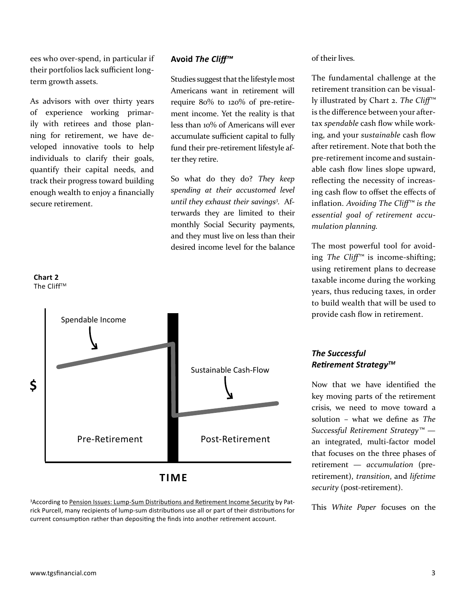ees who over-spend, in particular if their portfolios lack sufficient longterm growth assets.

As advisors with over thirty years of experience working primarily with retirees and those planning for retirement, we have developed innovative tools to help individuals to clarify their goals, quantify their capital needs, and track their progress toward building enough wealth to enjoy a financially secure retirement.

**Chart 2** The Cliff™

# **Avoid** *The Cliff ™*

Studies suggest that the lifestyle most Americans want in retirement will require 80% to 120% of pre-retirement income. Yet the reality is that less than 10% of Americans will ever accumulate sufficient capital to fully fund their pre-retirement lifestyle after they retire.

So what do they do? *They keep spending at their accustomed level until they exhaust their savings3 .* Afterwards they are limited to their monthly Social Security payments, and they must live on less than their desired income level for the balance



**TIME**

<sup>3</sup>According to Pension Issues: Lump-Sum Distributions and Retirement Income Security by Patrick Purcell, many recipients of lump-sum distributions use all or part of their distributions for current consumption rather than depositing the finds into another retirement account.

of their lives.

The fundamental challenge at the retirement transition can be visually illustrated by Chart 2. The Cliff<sup>™</sup> is the difference between your aftertax *spendable* cash flow while working, and your *sustainable* cash flow after retirement. Note that both the pre-retirement income and sustainable cash flow lines slope upward, reflecting the necessity of increasing cash flow to offset the effects of inflation. *Avoiding The Cliff<sup>™</sup> is the essential goal of retirement accumulation planning.* 

The most powerful tool for avoiding *The Cliff<sup>™</sup>* is income-shifting; using retirement plans to decrease taxable income during the working years, thus reducing taxes, in order to build wealth that will be used to provide cash flow in retirement.

# *The Successful Retirement Strategy™*

Now that we have identified the key moving parts of the retirement crisis, we need to move toward a solution - what we define as *The Successful Retirement Strategy™* an integrated, multi-factor model that focuses on the three phases of retirement — *accumulation* (preretirement), *transition*, and *lifetime security* (post-retirement).

This *White Paper* focuses on the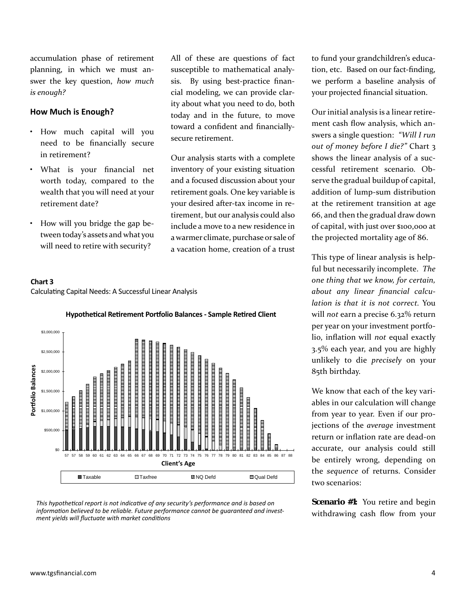accumulation phase of retirement planning, in which we must answer the key question, *how much is enough?*

#### **How Much is Enough?**

- How much capital will you need to be financially secure in retirement?
- What is your financial net worth today, compared to the wealth that you will need at your retirement date?
- How will you bridge the gap between today's assets and what you will need to retire with security?

Calculating Capital Needs: A Successful Linear Analysis

**Chart 3**

All of these are questions of fact susceptible to mathematical analysis. By using best-practice financial modeling, we can provide clarity about what you need to do, both today and in the future, to move toward a confident and financiallysecure retirement.

Our analysis starts with a complete inventory of your existing situation and a focused discussion about your retirement goals. One key variable is your desired after-tax income in retirement, but our analysis could also include a move to a new residence in a warmer climate, purchase or sale of a vacation home, creation of a trust

to fund your grandchildren's education, etc. Based on our fact-finding, we perform a baseline analysis of your projected financial situation.

Our initial analysis is a linear retirement cash flow analysis, which answers a single question: *"Will I run out of money before I die?"* Chart 3 shows the linear analysis of a successful retirement scenario. Observe the gradual buildup of capital, addition of lump-sum distribution at the retirement transition at age 66, and then the gradual draw down of capital, with just over \$100,000 at the projected mortality age of 86.

This type of linear analysis is helpful but necessarily incomplete. *The one thing that we know, for certain,*  about any linear financial calcu*lation is that it is not correct.* You will *not* earn a precise 6.32% return per year on your investment portfolio, inflation will *not* equal exactly 3.5% each year, and you are highly unlikely to die *precisely* on your 85th birthday.

We know that each of the key variables in our calculation will change from year to year. Even if our projections of the *average* investment return or inflation rate are dead-on accurate, our analysis could still be entirely wrong, depending on the *sequence* of returns. Consider two scenarios:

**Scenario #1:** You retire and begin withdrawing cash flow from your

*ment yields will fluctuate with market conditions* 

# **Hypotheti cal Reti rement Portf olio Balances - Sample Reti red Client**



*This hypotheti cal report is not indicati ve of any security's performance and is based on informati on believed to be reliable. Future performance cannot be guaranteed and invest-*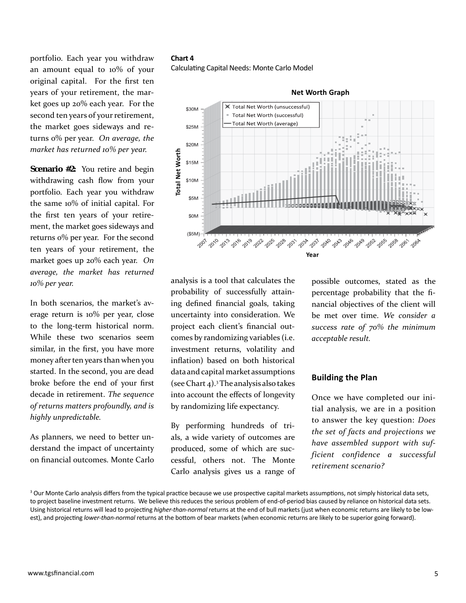portfolio. Each year you withdraw an amount equal to 10% of your original capital. For the first ten years of your retirement, the market goes up 20% each year. For the second ten years of your retirement, the market goes sideways and returns 0% per year. *On average, the market has returned 10% per year.*

**Scenario #2:** You retire and begin withdrawing cash flow from your portfolio. Each year you withdraw the same 10% of initial capital. For the first ten years of your retirement, the market goes sideways and returns 0% per year. For the second ten years of your retirement, the market goes up 20% each year. *On average, the market has returned 10% per year.*

In both scenarios, the market's average return is 10% per year, close to the long-term historical norm. While these two scenarios seem similar, in the first, you have more money after ten years than when you started. In the second, you are dead broke before the end of your first decade in retirement. *The sequence of returns matters profoundly, and is highly unpredictable.* 

As planners, we need to better understand the impact of uncertainty on financial outcomes. Monte Carlo

## **Chart 4**

Calculating Capital Needs: Monte Carlo Model



**Net Worth Graph**

analysis is a tool that calculates the probability of successfully attaining defined financial goals, taking uncertainty into consideration. We project each client's financial outcomes by randomizing variables (i.e. investment returns, volatility and inflation) based on both historical data and capital market assumptions (see Chart 4).3 The analysis also takes into account the effects of longevity by randomizing life expectancy.

By performing hundreds of trials, a wide variety of outcomes are produced, some of which are successful, others not. The Monte Carlo analysis gives us a range of

possible outcomes, stated as the percentage probability that the financial objectives of the client will be met over time. *We consider a success rate of 70% the minimum acceptable result.* 

#### **Building the Plan**

Once we have completed our initial analysis, we are in a position to answer the key question: *Does the set of facts and projections we have assembled support with sufficient confidence a successful retirement scenario?* 

<sup>&</sup>lt;sup>3</sup> Our Monte Carlo analysis differs from the typical practice because we use prospective capital markets assumptions, not simply historical data sets, to project baseline investment returns. We believe this reduces the serious problem of end-of-period bias caused by reliance on historical data sets. Using historical returns will lead to projecting *higher-than-normal* returns at the end of bull markets (just when economic returns are likely to be low-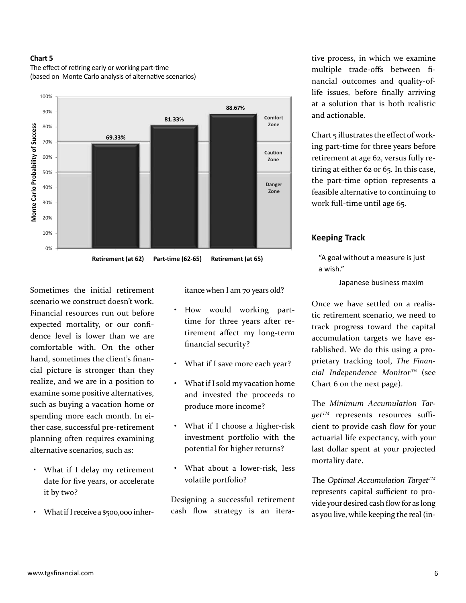#### **Chart 5**



The effect of retiring early or working part-time (based on Monte Carlo analysis of alternative scenarios)

Sometimes the initial retirement scenario we construct doesn't work. Financial resources run out before expected mortality, or our confidence level is lower than we are comfortable with. On the other hand, sometimes the client's financial picture is stronger than they realize, and we are in a position to examine some positive alternatives, such as buying a vacation home or spending more each month. In either case, successful pre-retirement planning often requires examining alternative scenarios, such as:

- What if I delay my retirement date for five years, or accelerate it by two?
- What if I receive a \$500,000 inher-

itance when I am 70 years old?

- How would working parttime for three years after retirement affect my long-term financial security?
- What if I save more each year?
- What if I sold my vacation home and invested the proceeds to produce more income?
- What if I choose a higher-risk investment portfolio with the potential for higher returns?
- What about a lower-risk, less volatile portfolio?

Designing a successful retirement cash flow strategy is an itera-

tive process, in which we examine multiple trade-offs between financial outcomes and quality-oflife issues, before finally arriving at a solution that is both realistic and actionable.

Chart 5 illustrates the effect of working part-time for three years before retirement at age 62, versus fully retiring at either 62 or 65. In this case, the part-time option represents a feasible alternative to continuing to work full-time until age 65.

#### **Keeping Track**

"A goal without a measure is just a wish."

Japanese business maxim

Once we have settled on a realistic retirement scenario, we need to track progress toward the capital accumulation targets we have established. We do this using a proprietary tracking tool, *The Financial Independence Monitor™* (see Chart 6 on the next page).

The *Minimum Accumulation Tar* $get^{TM}$  represents resources sufficient to provide cash flow for your actuarial life expectancy, with your last dollar spent at your projected mortality date.

The *Optimal Accumulation TargetTM* represents capital sufficient to provide your desired cash flow for as long as you live, while keeping the real (in-